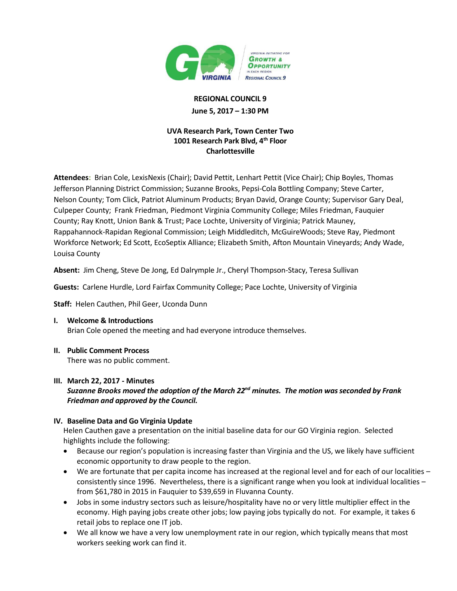

# **REGIONAL COUNCIL 9 June 5, 2017 – 1:30 PM**

## **UVA Research Park, Town Center Two 1001 Research Park Blvd, 4th Floor Charlottesville**

**Attendees:** Brian Cole, LexisNexis (Chair); David Pettit, Lenhart Pettit (Vice Chair); Chip Boyles, Thomas Jefferson Planning District Commission; Suzanne Brooks, Pepsi-Cola Bottling Company; Steve Carter, Nelson County; Tom Click, Patriot Aluminum Products; Bryan David, Orange County; Supervisor Gary Deal, Culpeper County; Frank Friedman, Piedmont Virginia Community College; Miles Friedman, Fauquier County; Ray Knott, Union Bank & Trust; Pace Lochte, University of Virginia; Patrick Mauney, Rappahannock-Rapidan Regional Commission; Leigh Middleditch, McGuireWoods; Steve Ray, Piedmont Workforce Network; Ed Scott, EcoSeptix Alliance; Elizabeth Smith, Afton Mountain Vineyards; Andy Wade, Louisa County

**Absent:** Jim Cheng, Steve De Jong, Ed Dalrymple Jr., Cheryl Thompson-Stacy, Teresa Sullivan

**Guests:** Carlene Hurdle, Lord Fairfax Community College; Pace Lochte, University of Virginia

**Staff:** Helen Cauthen, Phil Geer, Uconda Dunn

- **I. Welcome & Introductions** Brian Cole opened the meeting and had everyone introduce themselves.
- **II. Public Comment Process** There was no public comment.

#### **III. March 22, 2017 - Minutes**

*Suzanne Brooks moved the adoption of the March 22nd minutes. The motion wasseconded by Frank Friedman and approved by the Council.*

#### **IV. Baseline Data and Go Virginia Update**

Helen Cauthen gave a presentation on the initial baseline data for our GO Virginia region. Selected highlights include the following:

- Because our region's population is increasing faster than Virginia and the US, we likely have sufficient economic opportunity to draw people to the region.
- We are fortunate that per capita income has increased at the regional level and for each of our localities consistently since 1996. Nevertheless, there is a significant range when you look at individual localities – from \$61,780 in 2015 in Fauquier to \$39,659 in Fluvanna County.
- Jobs in some industry sectors such as leisure/hospitality have no or very little multiplier effect in the economy. High paying jobs create other jobs; low paying jobs typically do not. For example, it takes 6 retail jobs to replace one IT job.
- We all know we have a very low unemployment rate in our region, which typically means that most workers seeking work can find it.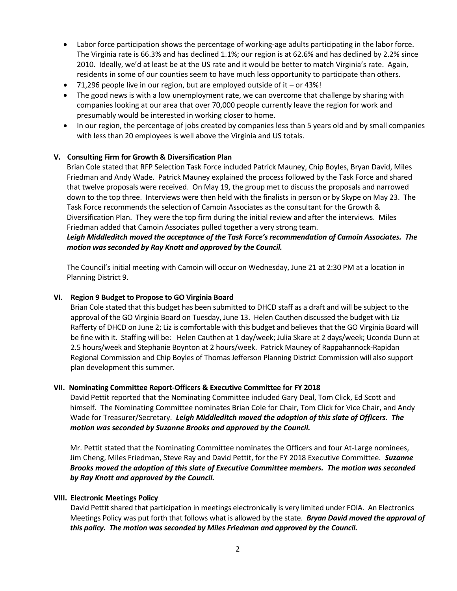- Labor force participation shows the percentage of working-age adults participating in the labor force. The Virginia rate is 66.3% and has declined 1.1%; our region is at 62.6% and has declined by 2.2% since 2010. Ideally, we'd at least be at the US rate and it would be better to match Virginia's rate. Again, residents in some of our counties seem to have much less opportunity to participate than others.
- 71,296 people live in our region, but are employed outside of it or 43%!
- The good news is with a low unemployment rate, we can overcome that challenge by sharing with companies looking at our area that over 70,000 people currently leave the region for work and presumably would be interested in working closer to home.
- In our region, the percentage of jobs created by companies less than 5 years old and by small companies with less than 20 employees is well above the Virginia and US totals.

#### **V. Consulting Firm for Growth & Diversification Plan**

Brian Cole stated that RFP Selection Task Force included Patrick Mauney, Chip Boyles, Bryan David, Miles Friedman and Andy Wade.Patrick Mauney explained the process followed by the Task Force and shared that twelve proposals were received. On May 19, the group met to discuss the proposals and narrowed down to the top three. Interviews were then held with the finalists in person or by Skype on May 23. The Task Force recommends the selection of Camoin Associates as the consultant for the Growth & Diversification Plan. They were the top firm during the initial review and after the interviews. Miles Friedman added that Camoin Associates pulled together a very strong team.

## *Leigh Middleditch moved the acceptance of the Task Force's recommendation of Camoin Associates. The motion wasseconded by Ray Knott and approved by the Council.*

The Council's initial meeting with Camoin will occur on Wednesday, June 21 at 2:30 PM at a location in Planning District 9.

#### **VI. Region 9 Budget to Propose to GO Virginia Board**

Brian Cole stated that this budget has been submitted to DHCD staff as a draft and will be subject to the approval of the GO Virginia Board on Tuesday, June 13. Helen Cauthen discussed the budget with Liz Rafferty of DHCD on June 2; Liz is comfortable with this budget and believes that the GO Virginia Board will be fine with it. Staffing will be: Helen Cauthen at 1 day/week; Julia Skare at 2 days/week; Uconda Dunn at 2.5 hours/week and Stephanie Boynton at 2 hours/week. Patrick Mauney of Rappahannock-Rapidan Regional Commission and Chip Boyles of Thomas Jefferson Planning District Commission will also support plan development this summer.

#### **VII. Nominating Committee Report-Officers & Executive Committee for FY 2018**

David Pettit reported that the Nominating Committee included Gary Deal, Tom Click, Ed Scott and himself. The Nominating Committee nominates Brian Cole for Chair, Tom Click for Vice Chair, and Andy Wade for Treasurer/Secretary. *Leigh Middleditch moved the adoption of this slate of Officers. The motion was seconded by Suzanne Brooks and approved by the Council.*

Mr. Pettit stated that the Nominating Committee nominates the Officers and four At-Large nominees, Jim Cheng, Miles Friedman, Steve Ray and David Pettit, for the FY 2018 Executive Committee. *Suzanne Brooks moved the adoption of this slate of Executive Committee members. The motion was seconded by Ray Knott and approved by the Council.* 

#### **VIII. Electronic Meetings Policy**

David Pettit shared that participation in meetings electronically is very limited under FOIA. An Electronics Meetings Policy was put forth that follows what is allowed by the state. *Bryan David moved the approval of this policy. The motion was seconded by Miles Friedman and approved by the Council.*